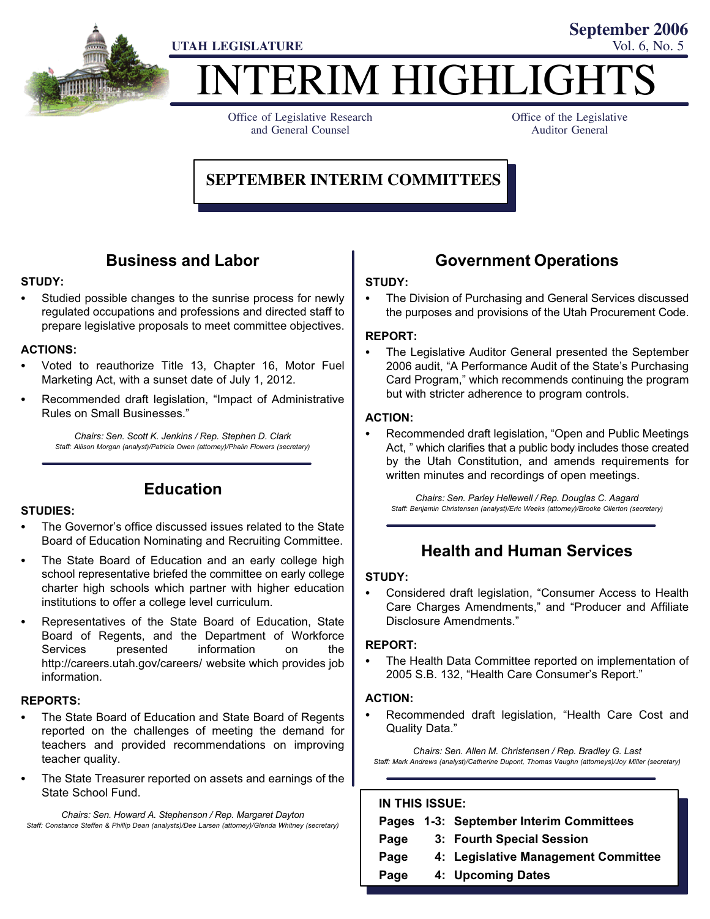

ERIM HIGHLIGH

Office of Legislative Research and General Counsel

Office of the Legislative Auditor General

**September 2006**

#### **SEPTEMBER INTERIM COMMITTEES**

#### Business and Labor

## STUDY: -

 Studied possible changes to the sunrise process for newly regulated occupations and professions and directed staff to prepare legislative proposals to meet committee objectives.

### ACTIONS: -

- Voted to reauthorize Title 13, Chapter 16, Motor Fuel Marketing Act, with a sunset date of July 1, 2012.
- Recommended draft legislation, "Impact of Administrative Rules on Small Businesses."

Chairs: Sen. Scott K. Jenkins / Rep. Stephen D. Clark Staff: Allison Morgan (analyst)/Patricia Owen (attorney)/Phalin Flowers (secretary)

#### Education

## STUDIES:<br>—

- The Governor's office discussed issues related to the State Board of Education Nominating and Recruiting Committee.
- The State Board of Education and an early college high school representative briefed the committee on early college charter high schools which partner with higher education institutions to offer a college level curriculum.
- Representatives of the State Board of Education, State Board of Regents, and the Department of Workforce Services presented information on the http://careers.utah.gov/careers/ website which provides job information.

## REPORTS: -

- The State Board of Education and State Board of Regents reported on the challenges of meeting the demand for teachers and provided recommendations on improving teacher quality.
- The State Treasurer reported on assets and earnings of the State School Fund.

Chairs: Sen. Howard A. Stephenson / Rep. Margaret Dayton Staff: Constance Steffen & Phillip Dean (analysts)/Dee Larsen (attorney)/Glenda Whitney (secretary)

#### Government Operations

# STUDY: -

 The Division of Purchasing and General Services discussed the purposes and provisions of the Utah Procurement Code.

## REPORT:<br>—

 The Legislative Auditor General presented the September 2006 audit, "A Performance Audit of the State's Purchasing Card Program," which recommends continuing the program but with stricter adherence to program controls.

### ACTION: -

• Recommended draft legislation, "Open and Public Meetings Act, " which clarifies that a public body includes those created by the Utah Constitution, and amends requirements for written minutes and recordings of open meetings.

Chairs: Sen. Parley Hellewell / Rep. Douglas C. Aagard Staff: Benjamin Christensen (analyst)/Eric Weeks (attorney)/Brooke Ollerton (secretary)

#### Health and Human Services

### STUDY:

• Considered draft legislation, "Consumer Access to Health Care Charges Amendments," and "Producer and Affiliate Disclosure Amendments."

## REPORT:<br>... ...

 The Health Data Committee reported on implementation of 2005 S.B. 132, "Health Care Consumer's Report."

### ACTION: -

• Recommended draft legislation, "Health Care Cost and Quality Data."

Chairs: Sen. Allen M. Christensen / Rep. Bradley G. Last Staff: Mark Andrews (analyst)/Catherine Dupont, Thomas Vaughn (attorneys)/Joy Miller (secretary)

#### IN THIS ISSUE:

|      | Pages 1-3: September Interim Committees |
|------|-----------------------------------------|
| Page | 3: Fourth Special Session               |
| Page | 4: Legislative Management Committee     |
| Page | 4: Upcoming Dates                       |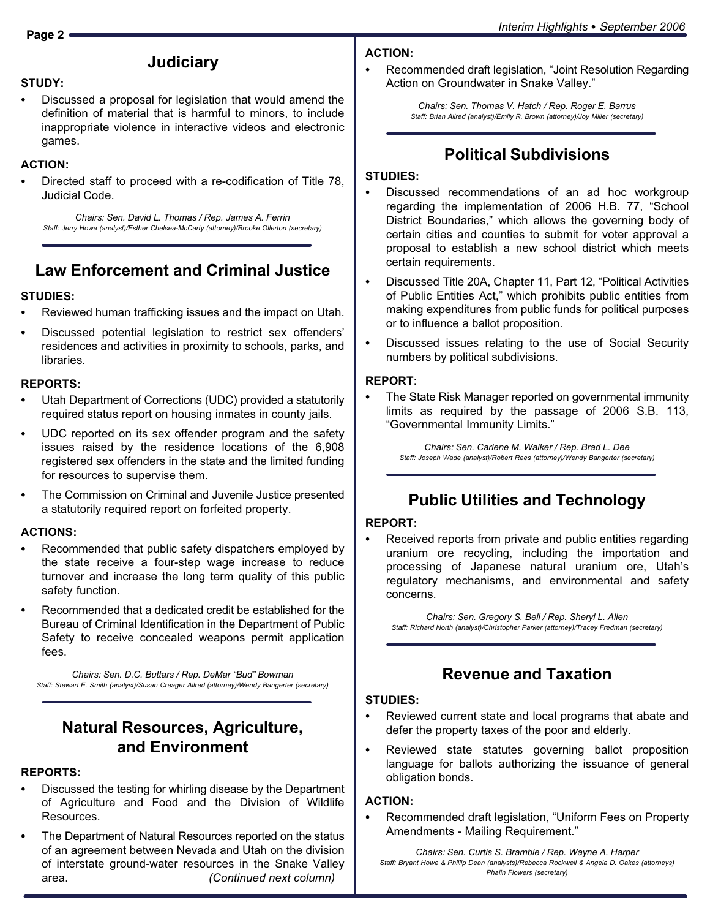# ACTION: -

- STUDY:<br>--
- Discussed a proposal for legislation that would amend the definition of material that is harmful to minors, to include inappropriate violence in interactive videos and electronic games.

**Judiciary** 

## ACTION: -

 Directed staff to proceed with a re−codification of Title 78, Judicial Code.

Chairs: Sen. David L. Thomas / Rep. James A. Ferrin Staff: Jerry Howe (analyst)/Esther Chelsea−McCarty (attorney)/Brooke Ollerton (secretary)

## Law Enforcement and Criminal Justice

# STUDIES: -

- Reviewed human trafficking issues and the impact on Utah.
- Discussed potential legislation to restrict sex offenders´ residences and activities in proximity to schools, parks, and libraries.

## REPORTS:<br>-------

- Utah Department of Corrections (UDC) provided a statutorily required status report on housing inmates in county jails.
- UDC reported on its sex offender program and the safety issues raised by the residence locations of the 6,908 registered sex offenders in the state and the limited funding for resources to supervise them.
- The Commission on Criminal and Juvenile Justice presented a statutorily required report on forfeited property.

## ACTIONS: -

- Recommended that public safety dispatchers employed by the state receive a four−step wage increase to reduce turnover and increase the long term quality of this public safety function.
- Recommended that a dedicated credit be established for the Bureau of Criminal Identification in the Department of Public Safety to receive concealed weapons permit application fees.

Chairs: Sen. D.C. Buttars / Rep. DeMar "Bud" Bowman Staff: Stewart E. Smith (analyst)/Susan Creager Allred (attorney)/Wendy Bangerter (secretary)

#### Natural Resources, Agriculture, and Environment

# REPORTS: -

- Discussed the testing for whirling disease by the Department of Agriculture and Food and the Division of Wildlife Resources.
- The Department of Natural Resources reported on the status of an agreement between Nevada and Utah on the division of interstate ground−water resources in the Snake Valley area. (Continued next column)

• Recommended draft legislation, "Joint Resolution Regarding Action on Groundwater in Snake Valley."

> Chairs: Sen. Thomas V. Hatch / Rep. Roger E. Barrus Staff: Brian Allred (analyst)/Emily R. Brown (attorney)/Joy Miller (secretary)

#### Political Subdivisions

#### STUDIES:<br>-

- Discussed recommendations of an ad hoc workgroup regarding the implementation of 2006 H.B. 77, "School District Boundaries," which allows the governing body of certain cities and counties to submit for voter approval a proposal to establish a new school district which meets certain requirements.
- Discussed Title 20A, Chapter 11, Part 12, "Political Activities of Public Entities Act," which prohibits public entities from making expenditures from public funds for political purposes or to influence a ballot proposition.
- Discussed issues relating to the use of Social Security numbers by political subdivisions.

# REPORT: -

 The State Risk Manager reported on governmental immunity limits as required by the passage of 2006 S.B. 113, -Governmental Immunity Limits."

Chairs: Sen. Carlene M. Walker / Rep. Brad L. Dee Staff: Joseph Wade (analyst)/Robert Rees (attorney)/Wendy Bangerter (secretary)

## Public Utilities and Technology

## REPORT: -

 Received reports from private and public entities regarding uranium ore recycling, including the importation and processing of Japanese natural uranium ore, Utah's regulatory mechanisms, and environmental and safety concerns.

Chairs: Sen. Gregory S. Bell / Rep. Sheryl L. Allen Staff: Richard North (analyst)/Christopher Parker (attorney)/Tracey Fredman (secretary)

### Revenue and Taxation

## STUDIES:<br>-

- Reviewed current state and local programs that abate and defer the property taxes of the poor and elderly.
- Reviewed state statutes governing ballot proposition language for ballots authorizing the issuance of general obligation bonds.

# ACTION: -

• Recommended draft legislation, "Uniform Fees on Property Amendments − Mailing Requirement."

Chairs: Sen. Curtis S. Bramble / Rep. Wayne A. Harper Staff: Bryant Howe & Phillip Dean (analysts)/Rebecca Rockwell & Angela D. Oakes (attorneys) Phalin Flowers (secretary)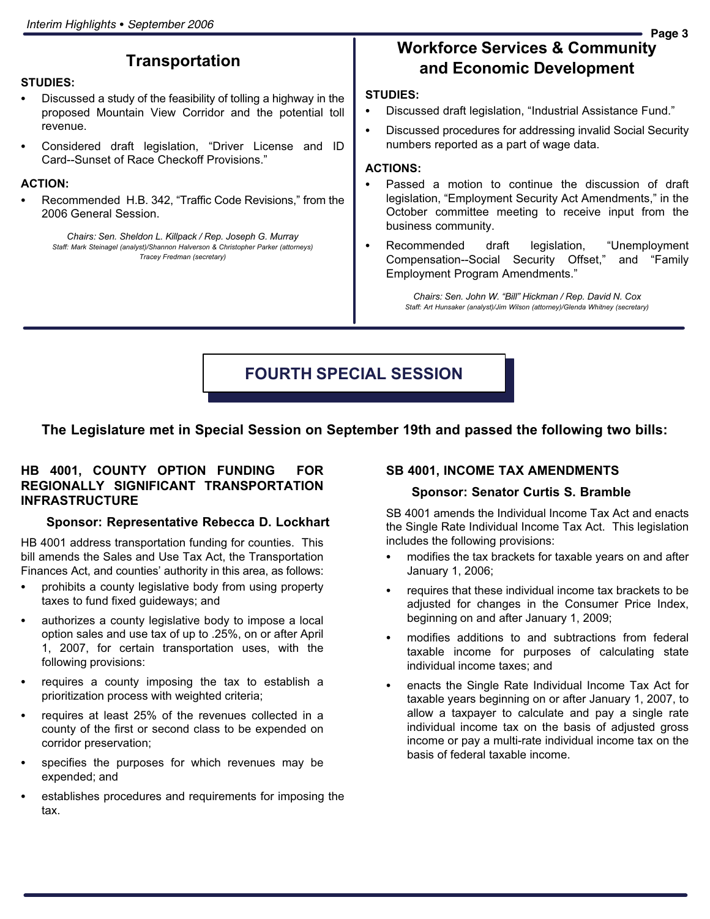#### **Transportation**

#### STUDIES:<br>--

- Discussed a study of the feasibility of tolling a highway in the proposed Mountain View Corridor and the potential toll revenue.
- Considered draft legislation, "Driver License and ID Card−−Sunset of Race Checkoff Provisions."

## ACTION: -

• Recommended H.B. 342, "Traffic Code Revisions," from the 2006 General Session.

Chairs: Sen. Sheldon L. Killpack / Rep. Joseph G. Murray Staff: Mark Steinagel (analyst)/Shannon Halverson & Christopher Parker (attorneys) Tracey Fredman (secretary)

## Workforce Services & Community and Economic Development

## STUDIES:<br>-

- Discussed draft legislation, "Industrial Assistance Fund."
- $\bullet$  Discussed procedures for addressing invalid Social Security numbers reported as a part of wage data.

## ACTIONS: -

- Passed a motion to continue the discussion of draft legislation, "Employment Security Act Amendments," in the October committee meeting to receive input from the business community.
- Recommended draft legislation, Unemployment Compensation--Social Security Offset," and "Family Employment Program Amendments."

Chairs: Sen. John W. "Bill" Hickman / Rep. David N. Cox Staff: Art Hunsaker (analyst)/Jim Wilson (attorney)/Glenda Whitney (secretary)

#### FOURTH SPECIAL SESSION

#### The Legislature met in Special Session on September 19th and passed the following two bills:

#### HB 4001, COUNTY OPTION FUNDING FOR REGIONALLY SIGNIFICANT TRANSPORTATION INFRASTRUCTURE

#### Sponsor: Representative Rebecca D. Lockhart

HB 4001 address transportation funding for counties. This bill amends the Sales and Use Tax Act, the Transportation Finances Act, and counties' authority in this area, as follows:

- prohibits a county legislative body from using property taxes to fund fixed guideways; and
- authorizes a county legislative body to impose a local option sales and use tax of up to .25%, on or after April 1, 2007, for certain transportation uses, with the following provisions:
- requires a county imposing the tax to establish a prioritization process with weighted criteria;
- requires at least 25% of the revenues collected in a county of the first or second class to be expended on corridor preservation;
- specifies the purposes for which revenues may be expended; and
- establishes procedures and requirements for imposing the tax.

#### SB 4001, INCOME TAX AMENDMENTS

#### Sponsor: Senator Curtis S. Bramble

SB 4001 amends the Individual Income Tax Act and enacts the Single Rate Individual Income Tax Act. This legislation includes the following provisions:

- modifies the tax brackets for taxable years on and after January 1, 2006;
- requires that these individual income tax brackets to be adjusted for changes in the Consumer Price Index, beginning on and after January 1, 2009;
- modifies additions to and subtractions from federal taxable income for purposes of calculating state individual income taxes; and
- enacts the Single Rate Individual Income Tax Act for taxable years beginning on or after January 1, 2007, to allow a taxpayer to calculate and pay a single rate individual income tax on the basis of adjusted gross income or pay a multi−rate individual income tax on the basis of federal taxable income.